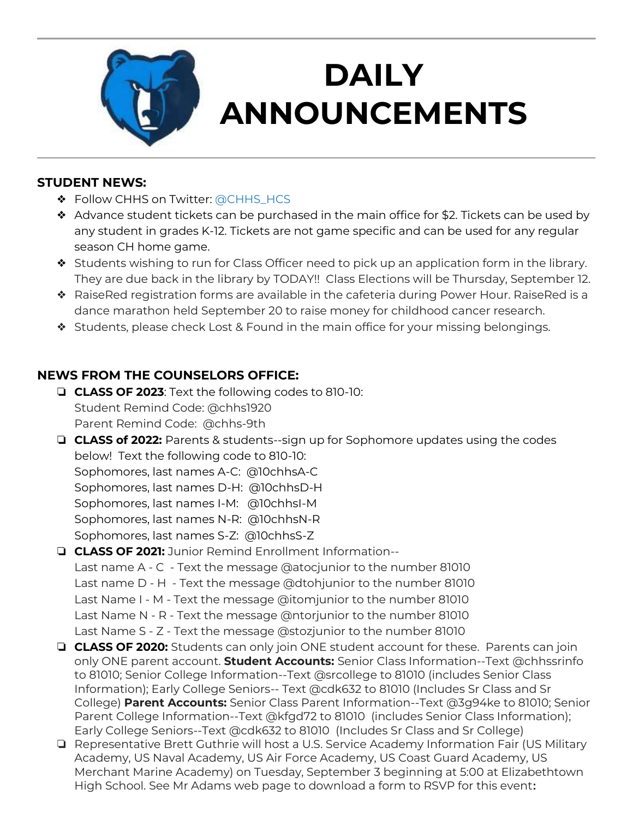

# **DAILY ANNOUNCEMENTS**

**August 30, 2019**

#### **STUDENT NEWS:**

- ❖ Follow CHHS on Twitter: [@CHHS\\_HCS](https://twitter.com/CHHS_HCS)
- ❖ Advance student tickets can be purchased in the main office for \$2. Tickets can be used by any student in grades K-12. Tickets are not game specific and can be used for any regular season CH home game.
- ❖ Students wishing to run for Class Officer need to pick up an application form in the library. They are due back in the library by TODAY!! Class Elections will be Thursday, September 12.
- ❖ RaiseRed registration forms are available in the cafeteria during Power Hour. RaiseRed is a dance marathon held September 20 to raise money for childhood cancer research.
- ❖ Students, please check Lost & Found in the main office for your missing belongings.

### **NEWS FROM THE COUNSELORS OFFICE:**

- ❏ **CLASS OF 2023**: Text the following codes to 810-10: Student Remind Code: @chhs1920 Parent Remind Code: @chhs-9th
- ❏ **CLASS of 2022:** Parents & students--sign up for Sophomore updates using the codes below! Text the following code to 810-10:

Sophomores, last names A-C: @10chhsA-C

Sophomores, last names D-H: @10chhsD-H

Sophomores, last names I-M: @10chhsI-M

Sophomores, last names N-R: @10chhsN-R

Sophomores, last names S-Z: @10chhsS-Z

## ❏ **CLASS OF 2021:** Junior Remind Enrollment Information--

Last name A - C - Text the message @atocjunior to the number 81010 Last name D - H - Text the message @dtohjunior to the number 81010 Last Name I - M - Text the message @itomjunior to the number 81010 Last Name N - R - Text the message @ntorjunior to the number 81010 Last Name S - Z - Text the message @stozjunior to the number 81010

- ❏ **CLASS OF 2020:** Students can only join ONE student account for these. Parents can join only ONE parent account. **Student Accounts:** Senior Class Information--Text @chhssrinfo to 81010; Senior College Information--Text @srcollege to 81010 (includes Senior Class Information); Early College Seniors-- Text @cdk632 to 81010 (Includes Sr Class and Sr College) **Parent Accounts:** Senior Class Parent Information--Text @3g94ke to 81010; Senior Parent College Information--Text @kfgd72 to 81010 (includes Senior Class Information); Early College Seniors--Text @cdk632 to 81010 (Includes Sr Class and Sr College)
- ❏ Representative Brett Guthrie will host a U.S. Service Academy Information Fair (US Military Academy, US Naval Academy, US Air Force Academy, US Coast Guard Academy, US Merchant Marine Academy) on Tuesday, September 3 beginning at 5:00 at Elizabethtown High School. See Mr Adams web page to download a form to RSVP for this event**:**